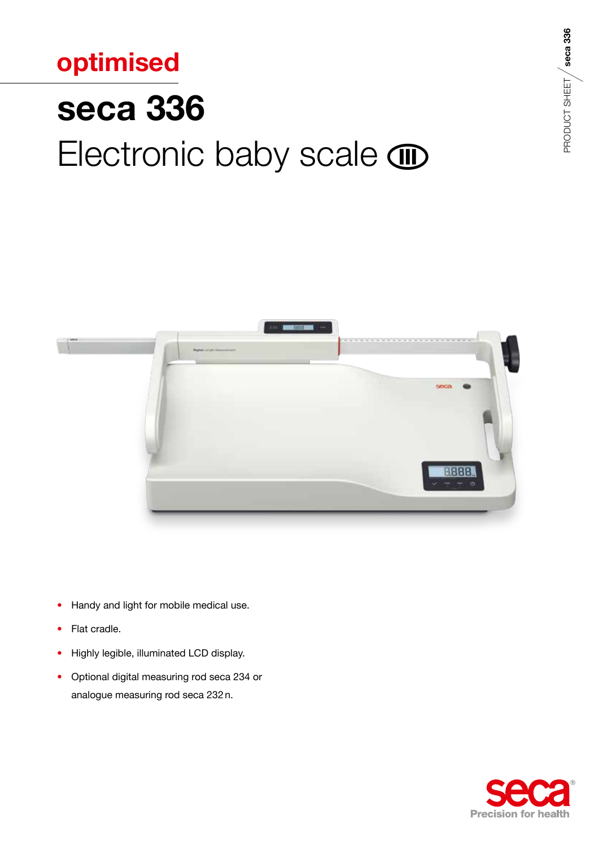## optimised **seca 336** Electronic baby scale  $\textcircled{\tiny{I}}$



- Handy and light for mobile medical use.  $\bullet$
- Flat cradle.  $\bullet$
- Highly legible, illuminated LCD display.  $\bullet$
- Optional digital measuring rod seca 234 or analogue measuring rod seca 232 n.



PRODUCT SHEET / seca 336